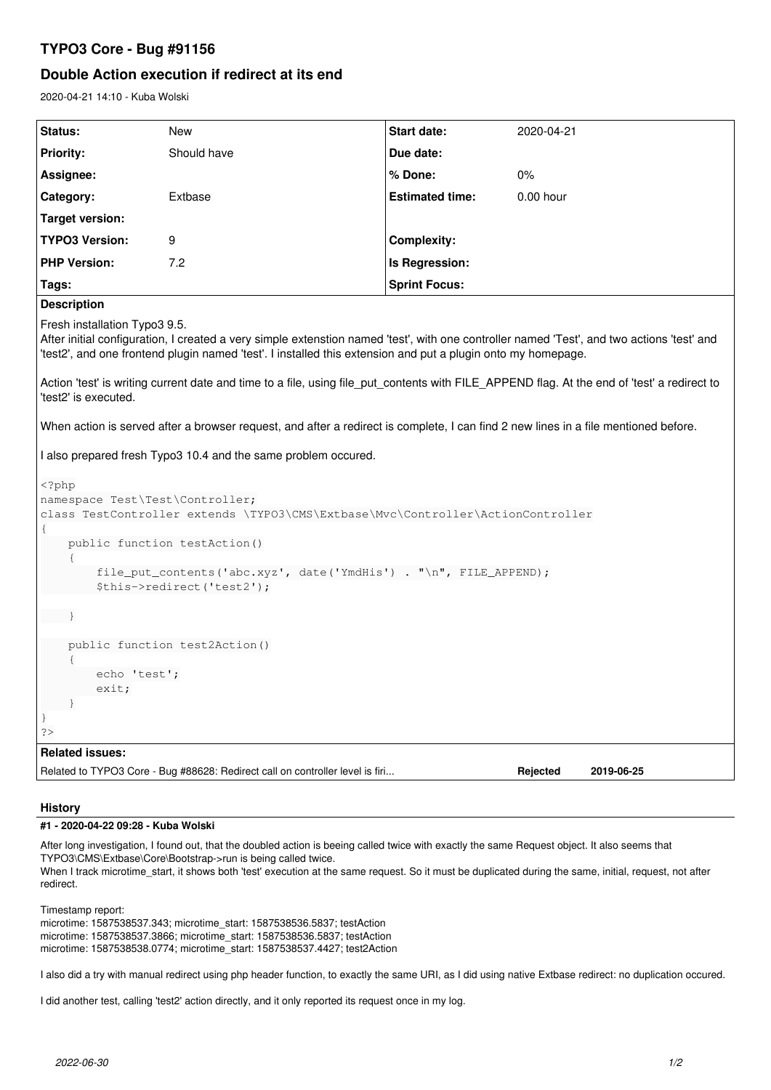# **TYPO3 Core - Bug #91156**

# **Double Action execution if redirect at its end**

2020-04-21 14:10 - Kuba Wolski

| <b>Status:</b>        | New         | <b>Start date:</b>     | 2020-04-21  |
|-----------------------|-------------|------------------------|-------------|
| <b>Priority:</b>      | Should have | Due date:              |             |
| Assignee:             |             | $%$ Done:              | $0\%$       |
| Category:             | Extbase     | <b>Estimated time:</b> | $0.00$ hour |
| Target version:       |             |                        |             |
| <b>TYPO3 Version:</b> | 9           | <b>Complexity:</b>     |             |
| <b>PHP Version:</b>   | 7.2         | Is Regression:         |             |
| Tags:                 |             | <b>Sprint Focus:</b>   |             |

**Description**

Fresh installation Typo3 9.5.

After initial configuration, I created a very simple extenstion named 'test', with one controller named 'Test', and two actions 'test' and 'test2', and one frontend plugin named 'test'. I installed this extension and put a plugin onto my homepage.

Action 'test' is writing current date and time to a file, using file put contents with FILE APPEND flag. At the end of 'test' a redirect to 'test2' is executed.

When action is served after a browser request, and after a redirect is complete, I can find 2 new lines in a file mentioned before.

I also prepared fresh Typo3 10.4 and the same problem occured.

```
<?php
namespace Test\Test\Controller;
class TestController extends \TYPO3\CMS\Extbase\Mvc\Controller\ActionController
{
         public function testAction()
         {
                 file_put_contents('abc.xyz', date('YmdHis') . "\n", FILE_APPEND);
                  $this->redirect('test2');
     }
         public function test2Action()
\left\{\begin{array}{ccc} \end{array}\right\}        echo 'test';
                  exit;
         }
}
?>
Related issues:
Related to TYPO3 Core - Bug #88628: Redirect call on controller level is firi... Rejected 2019-06-25
```
### **History**

## **#1 - 2020-04-22 09:28 - Kuba Wolski**

After long investigation, I found out, that the doubled action is beeing called twice with exactly the same Request object. It also seems that TYPO3\CMS\Extbase\Core\Bootstrap->run is being called twice. When I track microtime\_start, it shows both 'test' execution at the same request. So it must be duplicated during the same, initial, request, not after redirect.

Timestamp report: microtime: 1587538537.343; microtime\_start: 1587538536.5837; testAction microtime: 1587538537.3866; microtime\_start: 1587538536.5837; testAction microtime: 1587538538.0774; microtime\_start: 1587538537.4427; test2Action

I also did a try with manual redirect using php header function, to exactly the same URI, as I did using native Extbase redirect: no duplication occured.

I did another test, calling 'test2' action directly, and it only reported its request once in my log.